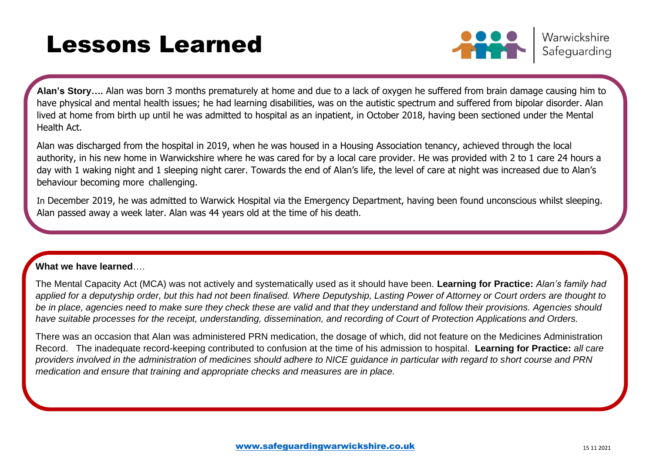# Lessons Learned



Warwickshire Safeguarding

**Alan's Story….** Alan was born 3 months prematurely at home and due to a lack of oxygen he suffered from brain damage causing him to have physical and mental health issues; he had learning disabilities, was on the autistic spectrum and suffered from bipolar disorder. Alan lived at home from birth up until he was admitted to hospital as an inpatient, in October 2018, having been sectioned under the Mental Health Act.

Alan was discharged from the hospital in 2019, when he was housed in a Housing Association tenancy, achieved through the local authority, in his new home in Warwickshire where he was cared for by a local care provider. He was provided with 2 to 1 care 24 hours a day with 1 waking night and 1 sleeping night carer. Towards the end of Alan's life, the level of care at night was increased due to Alan's behaviour becoming more challenging.

In December 2019, he was admitted to Warwick Hospital via the Emergency Department, having been found unconscious whilst sleeping. Alan passed away a week later. Alan was 44 years old at the time of his death.

## **What we have learned**….

The Mental Capacity Act (MCA) was not actively and systematically used as it should have been. **Learning for Practice:** *Alan's family had applied for a deputyship order, but this had not been finalised. Where Deputyship, Lasting Power of Attorney or Court orders are thought to be in place, agencies need to make sure they check these are valid and that they understand and follow their provisions. Agencies should have suitable processes for the receipt, understanding, dissemination, and recording of Court of Protection Applications and Orders.*

There was an occasion that Alan was administered PRN medication, the dosage of which, did not feature on the Medicines Administration Record. The inadequate record-keeping contributed to confusion at the time of his admission to hospital. **Learning for Practice:** *all care providers involved in the administration of medicines should adhere to NICE guidance in particular with regard to short course and PRN medication and ensure that training and appropriate checks and measures are in place.*